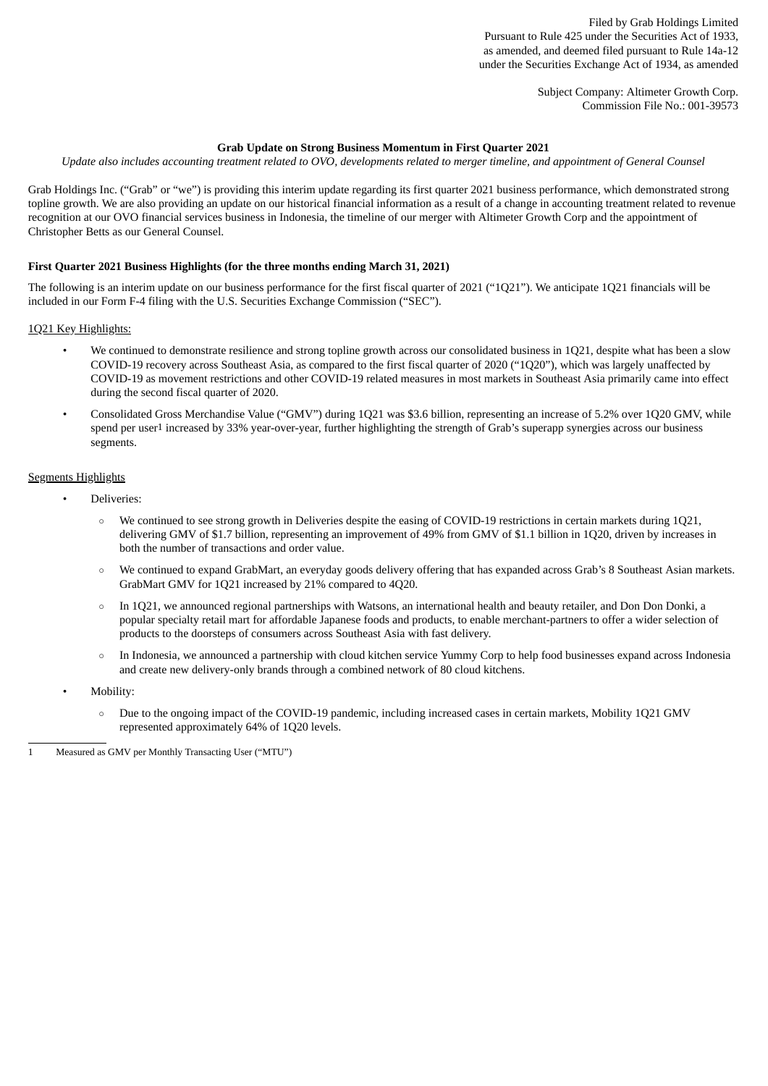Filed by Grab Holdings Limited Pursuant to Rule 425 under the Securities Act of 1933, as amended, and deemed filed pursuant to Rule 14a-12 under the Securities Exchange Act of 1934, as amended

> Subject Company: Altimeter Growth Corp. Commission File No.: 001-39573

#### **Grab Update on Strong Business Momentum in First Quarter 2021**

Update also includes accounting treatment related to OVO, developments related to merger timeline, and appointment of General Counsel

Grab Holdings Inc. ("Grab" or "we") is providing this interim update regarding its first quarter 2021 business performance, which demonstrated strong topline growth. We are also providing an update on our historical financial information as a result of a change in accounting treatment related to revenue recognition at our OVO financial services business in Indonesia, the timeline of our merger with Altimeter Growth Corp and the appointment of Christopher Betts as our General Counsel.

### **First Quarter 2021 Business Highlights (for the three months ending March 31, 2021)**

The following is an interim update on our business performance for the first fiscal quarter of 2021 ("1Q21"). We anticipate 1Q21 financials will be included in our Form F-4 filing with the U.S. Securities Exchange Commission ("SEC").

#### 1Q21 Key Highlights:

- We continued to demonstrate resilience and strong topline growth across our consolidated business in 1Q21, despite what has been a slow COVID-19 recovery across Southeast Asia, as compared to the first fiscal quarter of 2020 ("1Q20"), which was largely unaffected by COVID-19 as movement restrictions and other COVID-19 related measures in most markets in Southeast Asia primarily came into effect during the second fiscal quarter of 2020.
- Consolidated Gross Merchandise Value ("GMV") during 1Q21 was \$3.6 billion, representing an increase of 5.2% over 1Q20 GMV, while spend per user<sup>1</sup> increased by 33% year-over-year, further highlighting the strength of Grab's superapp synergies across our business segments.

#### Segments Highlights

- Deliveries:
	- We continued to see strong growth in Deliveries despite the easing of COVID-19 restrictions in certain markets during 1Q21, delivering GMV of \$1.7 billion, representing an improvement of 49% from GMV of \$1.1 billion in 1Q20, driven by increases in both the number of transactions and order value.
	- We continued to expand GrabMart, an everyday goods delivery offering that has expanded across Grab's 8 Southeast Asian markets. GrabMart GMV for 1Q21 increased by 21% compared to 4Q20.
	- In 1Q21, we announced regional partnerships with Watsons, an international health and beauty retailer, and Don Don Donki, a popular specialty retail mart for affordable Japanese foods and products, to enable merchant-partners to offer a wider selection of products to the doorsteps of consumers across Southeast Asia with fast delivery.
	- In Indonesia, we announced a partnership with cloud kitchen service Yummy Corp to help food businesses expand across Indonesia and create new delivery-only brands through a combined network of 80 cloud kitchens.
- Mobility:
	- Due to the ongoing impact of the COVID-19 pandemic, including increased cases in certain markets, Mobility 1Q21 GMV represented approximately 64% of 1Q20 levels.

Measured as GMV per Monthly Transacting User ("MTU")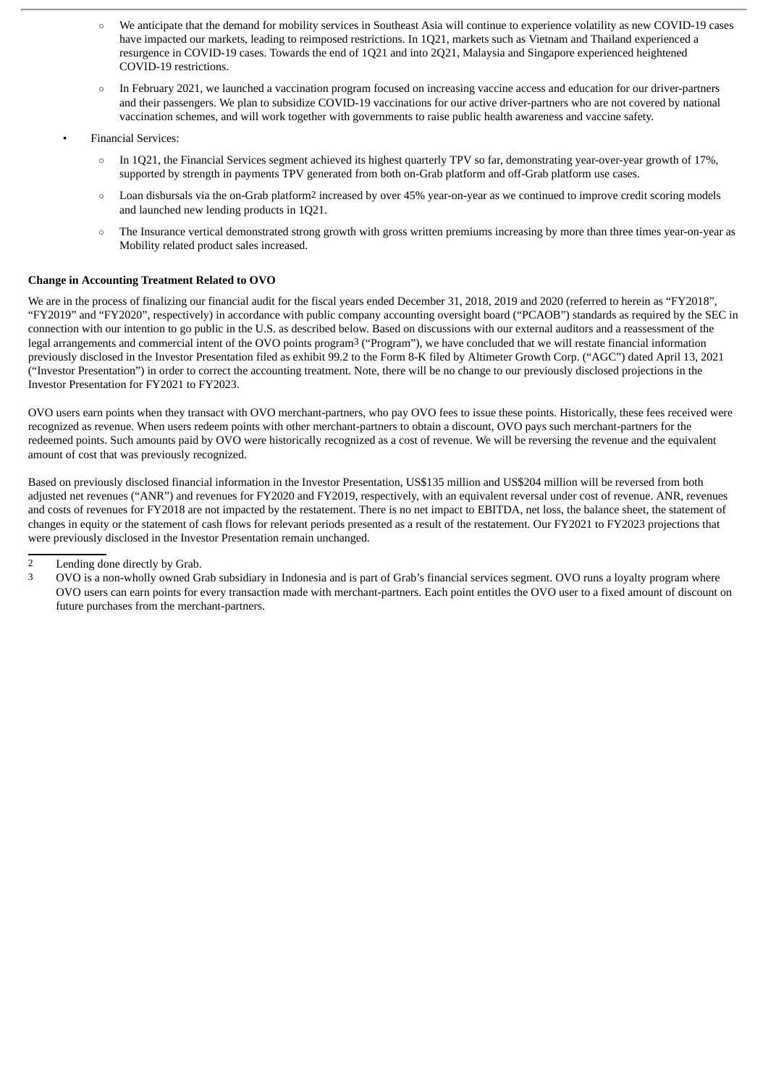- We anticipate that the demand for mobility services in Southeast Asia will continue to experience volatility as new COVID-19 cases have impacted our markets, leading to reimposed restrictions. In 1Q21, markets such as Vietnam and Thailand experienced a resurgence in COVID-19 cases. Towards the end of 1Q21 and into 2Q21, Malaysia and Singapore experienced heightened COVID-19 restrictions.
- In February 2021, we launched a vaccination program focused on increasing vaccine access and education for our driver-partners and their passengers. We plan to subsidize COVID-19 vaccinations for our active driver-partners who are not covered by national vaccination schemes, and will work together with governments to raise public health awareness and vaccine safety.
- Financial Services:
	- In 1Q21, the Financial Services segment achieved its highest quarterly TPV so far, demonstrating year-over-year growth of 17%, supported by strength in payments TPV generated from both on-Grab platform and off-Grab platform use cases.
	- Loan disbursals via the on-Grab platform2 increased by over 45% year-on-year as we continued to improve credit scoring models and launched new lending products in 1Q21.
	- The Insurance vertical demonstrated strong growth with gross written premiums increasing by more than three times year-on-year as Mobility related product sales increased.

# **Change in Accounting Treatment Related to OVO**

We are in the process of finalizing our financial audit for the fiscal years ended December 31, 2018, 2019 and 2020 (referred to herein as "FY2018", "FY2019" and "FY2020", respectively) in accordance with public company accounting oversight board ("PCAOB") standards as required by the SEC in connection with our intention to go public in the U.S. as described below. Based on discussions with our external auditors and a reassessment of the legal arrangements and commercial intent of the OVO points program<sup>3</sup> ("Program"), we have concluded that we will restate financial information previously disclosed in the Investor Presentation filed as exhibit 99.2 to the Form 8-K filed by Altimeter Growth Corp. ("AGC") dated April 13, 2021 ("Investor Presentation") in order to correct the accounting treatment. Note, there will be no change to our previously disclosed projections in the Investor Presentation for FY2021 to FY2023.

OVO users earn points when they transact with OVO merchant-partners, who pay OVO fees to issue these points. Historically, these fees received were recognized as revenue. When users redeem points with other merchant-partners to obtain a discount, OVO pays such merchant-partners for the redeemed points. Such amounts paid by OVO were historically recognized as a cost of revenue. We will be reversing the revenue and the equivalent amount of cost that was previously recognized.

Based on previously disclosed financial information in the Investor Presentation, US\$135 million and US\$204 million will be reversed from both adjusted net revenues ("ANR") and revenues for FY2020 and FY2019, respectively, with an equivalent reversal under cost of revenue. ANR, revenues and costs of revenues for FY2018 are not impacted by the restatement. There is no net impact to EBITDA, net loss, the balance sheet, the statement of changes in equity or the statement of cash flows for relevant periods presented as a result of the restatement. Our FY2021 to FY2023 projections that were previously disclosed in the Investor Presentation remain unchanged.

<sup>2</sup> Lending done directly by Grab.<br>3  $OVO$  is a non-wholly owned Gr

<sup>3</sup> OVO is a non-wholly owned Grab subsidiary in Indonesia and is part of Grab's financial services segment. OVO runs a loyalty program where OVO users can earn points for every transaction made with merchant-partners. Each point entitles the OVO user to a fixed amount of discount on future purchases from the merchant-partners.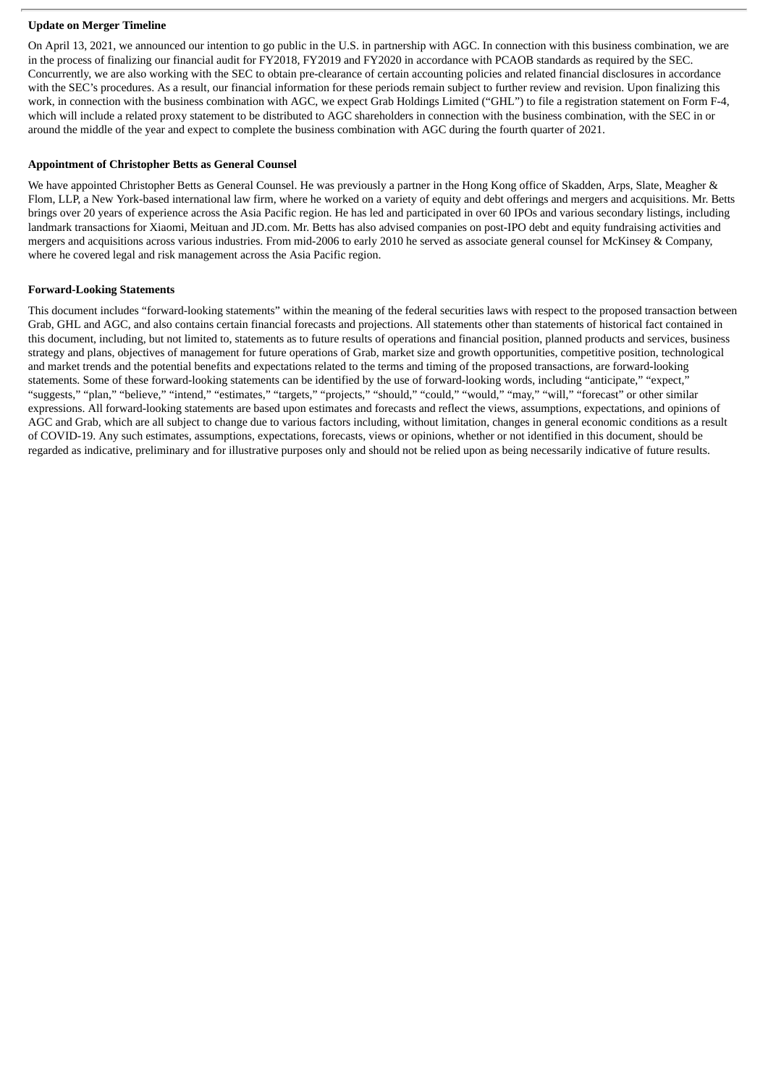## **Update on Merger Timeline**

On April 13, 2021, we announced our intention to go public in the U.S. in partnership with AGC. In connection with this business combination, we are in the process of finalizing our financial audit for FY2018, FY2019 and FY2020 in accordance with PCAOB standards as required by the SEC. Concurrently, we are also working with the SEC to obtain pre-clearance of certain accounting policies and related financial disclosures in accordance with the SEC's procedures. As a result, our financial information for these periods remain subject to further review and revision. Upon finalizing this work, in connection with the business combination with AGC, we expect Grab Holdings Limited ("GHL") to file a registration statement on Form F-4, which will include a related proxy statement to be distributed to AGC shareholders in connection with the business combination, with the SEC in or around the middle of the year and expect to complete the business combination with AGC during the fourth quarter of 2021.

### **Appointment of Christopher Betts as General Counsel**

We have appointed Christopher Betts as General Counsel. He was previously a partner in the Hong Kong office of Skadden, Arps, Slate, Meagher & Flom, LLP, a New York-based international law firm, where he worked on a variety of equity and debt offerings and mergers and acquisitions. Mr. Betts brings over 20 years of experience across the Asia Pacific region. He has led and participated in over 60 IPOs and various secondary listings, including landmark transactions for Xiaomi, Meituan and JD.com. Mr. Betts has also advised companies on post-IPO debt and equity fundraising activities and mergers and acquisitions across various industries. From mid-2006 to early 2010 he served as associate general counsel for McKinsey & Company, where he covered legal and risk management across the Asia Pacific region.

### **Forward-Looking Statements**

This document includes "forward-looking statements" within the meaning of the federal securities laws with respect to the proposed transaction between Grab, GHL and AGC, and also contains certain financial forecasts and projections. All statements other than statements of historical fact contained in this document, including, but not limited to, statements as to future results of operations and financial position, planned products and services, business strategy and plans, objectives of management for future operations of Grab, market size and growth opportunities, competitive position, technological and market trends and the potential benefits and expectations related to the terms and timing of the proposed transactions, are forward-looking statements. Some of these forward-looking statements can be identified by the use of forward-looking words, including "anticipate," "expect," "suggests," "plan," "believe," "intend," "estimates," "targets," "projects," "should," "could," "would," "may," "will," "forecast" or other similar expressions. All forward-looking statements are based upon estimates and forecasts and reflect the views, assumptions, expectations, and opinions of AGC and Grab, which are all subject to change due to various factors including, without limitation, changes in general economic conditions as a result of COVID-19. Any such estimates, assumptions, expectations, forecasts, views or opinions, whether or not identified in this document, should be regarded as indicative, preliminary and for illustrative purposes only and should not be relied upon as being necessarily indicative of future results.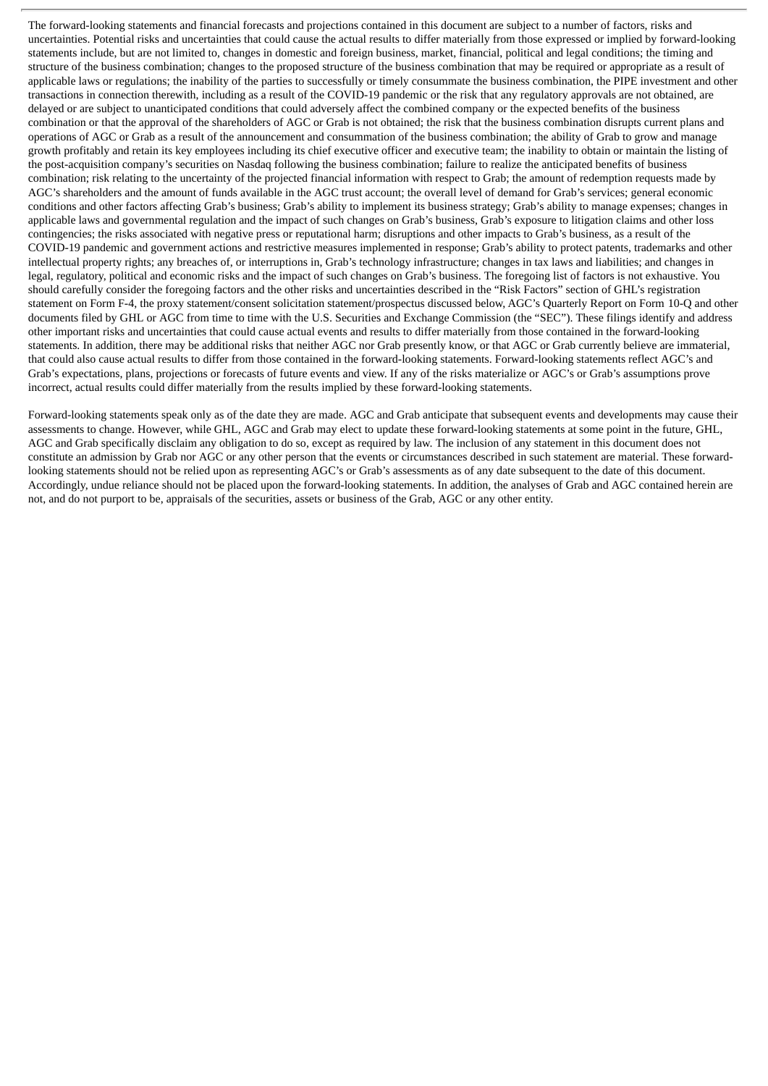The forward-looking statements and financial forecasts and projections contained in this document are subject to a number of factors, risks and uncertainties. Potential risks and uncertainties that could cause the actual results to differ materially from those expressed or implied by forward-looking statements include, but are not limited to, changes in domestic and foreign business, market, financial, political and legal conditions; the timing and structure of the business combination; changes to the proposed structure of the business combination that may be required or appropriate as a result of applicable laws or regulations; the inability of the parties to successfully or timely consummate the business combination, the PIPE investment and other transactions in connection therewith, including as a result of the COVID-19 pandemic or the risk that any regulatory approvals are not obtained, are delayed or are subject to unanticipated conditions that could adversely affect the combined company or the expected benefits of the business combination or that the approval of the shareholders of AGC or Grab is not obtained; the risk that the business combination disrupts current plans and operations of AGC or Grab as a result of the announcement and consummation of the business combination; the ability of Grab to grow and manage growth profitably and retain its key employees including its chief executive officer and executive team; the inability to obtain or maintain the listing of the post-acquisition company's securities on Nasdaq following the business combination; failure to realize the anticipated benefits of business combination; risk relating to the uncertainty of the projected financial information with respect to Grab; the amount of redemption requests made by AGC's shareholders and the amount of funds available in the AGC trust account; the overall level of demand for Grab's services; general economic conditions and other factors affecting Grab's business; Grab's ability to implement its business strategy; Grab's ability to manage expenses; changes in applicable laws and governmental regulation and the impact of such changes on Grab's business, Grab's exposure to litigation claims and other loss contingencies; the risks associated with negative press or reputational harm; disruptions and other impacts to Grab's business, as a result of the COVID-19 pandemic and government actions and restrictive measures implemented in response; Grab's ability to protect patents, trademarks and other intellectual property rights; any breaches of, or interruptions in, Grab's technology infrastructure; changes in tax laws and liabilities; and changes in legal, regulatory, political and economic risks and the impact of such changes on Grab's business. The foregoing list of factors is not exhaustive. You should carefully consider the foregoing factors and the other risks and uncertainties described in the "Risk Factors" section of GHL's registration statement on Form F-4, the proxy statement/consent solicitation statement/prospectus discussed below, AGC's Quarterly Report on Form 10-Q and other documents filed by GHL or AGC from time to time with the U.S. Securities and Exchange Commission (the "SEC"). These filings identify and address other important risks and uncertainties that could cause actual events and results to differ materially from those contained in the forward-looking statements. In addition, there may be additional risks that neither AGC nor Grab presently know, or that AGC or Grab currently believe are immaterial, that could also cause actual results to differ from those contained in the forward-looking statements. Forward-looking statements reflect AGC's and Grab's expectations, plans, projections or forecasts of future events and view. If any of the risks materialize or AGC's or Grab's assumptions prove incorrect, actual results could differ materially from the results implied by these forward-looking statements.

Forward-looking statements speak only as of the date they are made. AGC and Grab anticipate that subsequent events and developments may cause their assessments to change. However, while GHL, AGC and Grab may elect to update these forward-looking statements at some point in the future, GHL, AGC and Grab specifically disclaim any obligation to do so, except as required by law. The inclusion of any statement in this document does not constitute an admission by Grab nor AGC or any other person that the events or circumstances described in such statement are material. These forwardlooking statements should not be relied upon as representing AGC's or Grab's assessments as of any date subsequent to the date of this document. Accordingly, undue reliance should not be placed upon the forward-looking statements. In addition, the analyses of Grab and AGC contained herein are not, and do not purport to be, appraisals of the securities, assets or business of the Grab, AGC or any other entity.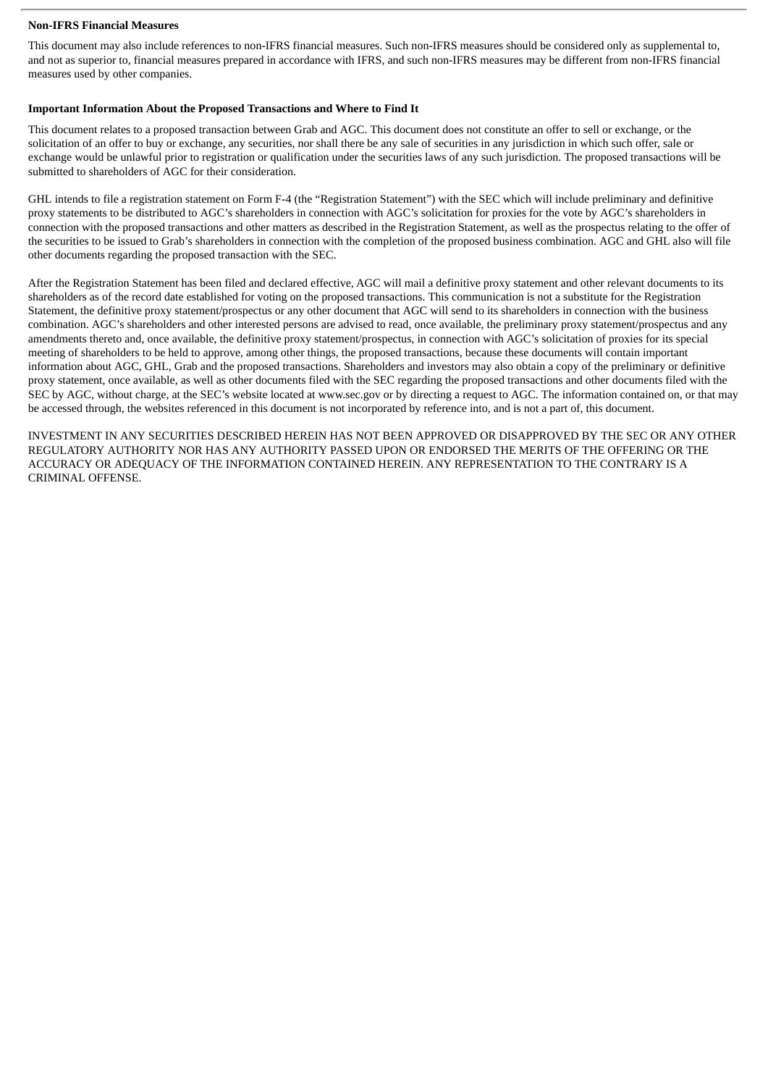## **Non-IFRS Financial Measures**

This document may also include references to non-IFRS financial measures. Such non-IFRS measures should be considered only as supplemental to, and not as superior to, financial measures prepared in accordance with IFRS, and such non-IFRS measures may be different from non-IFRS financial measures used by other companies.

#### **Important Information About the Proposed Transactions and Where to Find It**

This document relates to a proposed transaction between Grab and AGC. This document does not constitute an offer to sell or exchange, or the solicitation of an offer to buy or exchange, any securities, nor shall there be any sale of securities in any jurisdiction in which such offer, sale or exchange would be unlawful prior to registration or qualification under the securities laws of any such jurisdiction. The proposed transactions will be submitted to shareholders of AGC for their consideration.

GHL intends to file a registration statement on Form F-4 (the "Registration Statement") with the SEC which will include preliminary and definitive proxy statements to be distributed to AGC's shareholders in connection with AGC's solicitation for proxies for the vote by AGC's shareholders in connection with the proposed transactions and other matters as described in the Registration Statement, as well as the prospectus relating to the offer of the securities to be issued to Grab's shareholders in connection with the completion of the proposed business combination. AGC and GHL also will file other documents regarding the proposed transaction with the SEC.

After the Registration Statement has been filed and declared effective, AGC will mail a definitive proxy statement and other relevant documents to its shareholders as of the record date established for voting on the proposed transactions. This communication is not a substitute for the Registration Statement, the definitive proxy statement/prospectus or any other document that AGC will send to its shareholders in connection with the business combination. AGC's shareholders and other interested persons are advised to read, once available, the preliminary proxy statement/prospectus and any amendments thereto and, once available, the definitive proxy statement/prospectus, in connection with AGC's solicitation of proxies for its special meeting of shareholders to be held to approve, among other things, the proposed transactions, because these documents will contain important information about AGC, GHL, Grab and the proposed transactions. Shareholders and investors may also obtain a copy of the preliminary or definitive proxy statement, once available, as well as other documents filed with the SEC regarding the proposed transactions and other documents filed with the SEC by AGC, without charge, at the SEC's website located at www.sec.gov or by directing a request to AGC. The information contained on, or that may be accessed through, the websites referenced in this document is not incorporated by reference into, and is not a part of, this document.

INVESTMENT IN ANY SECURITIES DESCRIBED HEREIN HAS NOT BEEN APPROVED OR DISAPPROVED BY THE SEC OR ANY OTHER REGULATORY AUTHORITY NOR HAS ANY AUTHORITY PASSED UPON OR ENDORSED THE MERITS OF THE OFFERING OR THE ACCURACY OR ADEQUACY OF THE INFORMATION CONTAINED HEREIN. ANY REPRESENTATION TO THE CONTRARY IS A CRIMINAL OFFENSE.